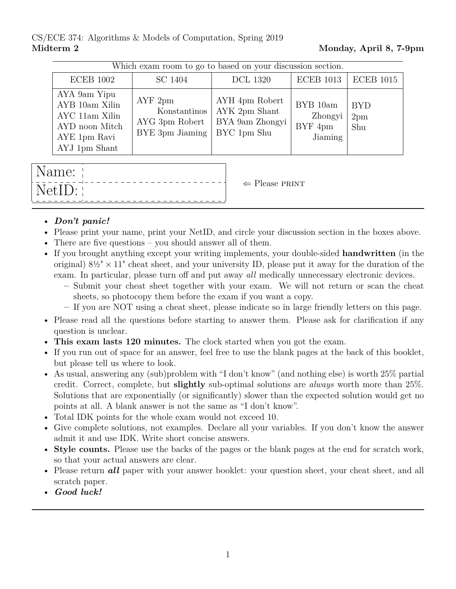## CS/ECE 374: Algorithms & Models of Computation, Spring 2019 Midterm 2 Monday, April 8, 7-9pm

| Which exam room to go to based on your discussion section.                                          |                                                             |                                                                   |                                           |                          |  |  |
|-----------------------------------------------------------------------------------------------------|-------------------------------------------------------------|-------------------------------------------------------------------|-------------------------------------------|--------------------------|--|--|
| <b>ECEB</b> 1002                                                                                    | SC 1404                                                     | <b>DCL 1320</b>                                                   | <b>ECEB</b> 1013                          | <b>ECEB</b> 1015         |  |  |
| AYA 9am Yipu<br>AYB 10am Xilin<br>AYC 11am Xilin<br>AYD noon Mitch<br>AYE 1pm Ravi<br>AYJ 1pm Shant | AYF2pm<br>Konstantinos<br>AYG 3pm Robert<br>BYE 3pm Jiaming | AYH 4pm Robert<br>AYK 2pm Shant<br>BYA 9am Zhongyi<br>BYC 1pm Shu | BYB 10am<br>Zhongyi<br>BYF 4pm<br>Jiaming | <b>BYD</b><br>2pm<br>Shu |  |  |
|                                                                                                     |                                                             |                                                                   |                                           |                          |  |  |

| Name:  |                           |
|--------|---------------------------|
| NetID: | $\Leftarrow$ Please PRINT |

## • *Don't panic!*

- Please print your name, print your NetID, and circle your discussion section in the boxes above.
- There are five questions you should answer all of them.
- If you brought anything except your writing implements, your double-sided **handwritten** (in the original)  $8\frac{1}{2} \times 11$ " cheat sheet, and your university ID, please put it away for the duration of the exam. In particular, please turn off and put away *all* medically unnecessary electronic devices.
	- **–** Submit your cheat sheet together with your exam. We will not return or scan the cheat sheets, so photocopy them before the exam if you want a copy.
	- **–** If you are NOT using a cheat sheet, please indicate so in large friendly letters on this page.
- Please read all the questions before starting to answer them. Please ask for clarification if any question is unclear.
- **This exam lasts 120 minutes.** The clock started when you got the exam.
- If you run out of space for an answer, feel free to use the blank pages at the back of this booklet, but please tell us where to look.
- As usual, answering any (sub)problem with "I don't know" (and nothing else) is worth 25% partial credit. Correct, complete, but **slightly** sub-optimal solutions are *always* worth more than 25%. Solutions that are exponentially (or significantly) slower than the expected solution would get no points at all. A blank answer is not the same as "I don't know".
- Total IDK points for the whole exam would not exceed 10.
- Give complete solutions, not examples. Declare all your variables. If you don't know the answer admit it and use IDK. Write short concise answers.
- **Style counts.** Please use the backs of the pages or the blank pages at the end for scratch work, so that your actual answers are clear.
- Please return **all** paper with your answer booklet: your question sheet, your cheat sheet, and all scratch paper.
- *Good luck!*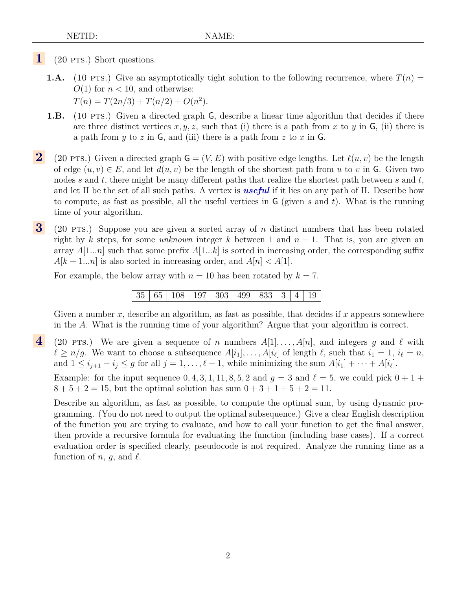- **1** (20 PTS.) Short questions.
	- **1.A.** (10 PTS.) Give an asymptotically tight solution to the following recurrence, where  $T(n)$  $O(1)$  for  $n < 10$ , and otherwise:  $T(n) = T(2n/3) + T(n/2) + O(n^2).$
	- **1.B.** (10 PTS.) Given a directed graph G, describe a linear time algorithm that decides if there are three distinct vertices  $x, y, z$ , such that (i) there is a path from x to y in G, (ii) there is a path from y to z in  $\mathsf{G}$ , and (iii) there is a path from z to x in  $\mathsf{G}$ .
- **2** (20 pts.) Given a directed graph  $\mathsf{G} = (V, E)$  with positive edge lengths. Let  $\ell(u, v)$  be the length of edge  $(u, v) \in E$ , and let  $d(u, v)$  be the length of the shortest path from u to v in G. Given two nodes s and t, there might be many different paths that realize the shortest path between s and  $t$ , and let Π be the set of all such paths. A vertex is *useful* if it lies on any path of Π. Describe how to compute, as fast as possible, all the useful vertices in  $\mathsf{G}$  (given s and t). What is the running time of your algorithm.
- **3** (20 pts.) Suppose you are given a sorted array of n distinct numbers that has been rotated right by k steps, for some *unknown* integer k between 1 and  $n - 1$ . That is, you are given an array  $A[1...n]$  such that some prefix  $A[1...k]$  is sorted in increasing order, the corresponding suffix  $A[k+1...n]$  is also sorted in increasing order, and  $A[n] < A[1]$ .

For example, the below array with  $n = 10$  has been rotated by  $k = 7$ .

|  |  |  | $35   65   108   197   303   499   833   3   4   19$ |  |  |  |  |  |  |  |
|--|--|--|------------------------------------------------------|--|--|--|--|--|--|--|
|--|--|--|------------------------------------------------------|--|--|--|--|--|--|--|

Given a number  $x$ , describe an algorithm, as fast as possible, that decides if  $x$  appears somewhere in the A. What is the running time of your algorithm? Argue that your algorithm is correct.

**4** (20 pts.) We are given a sequence of n numbers  $A[1], \ldots, A[n]$ , and integers g and  $\ell$  with  $\ell \ge n/g$ . We want to choose a subsequence  $A[i_1], \ldots, A[i_\ell]$  of length  $\ell$ , such that  $i_1 = 1$ ,  $i_\ell = n$ , and  $1 \leq i_{j+1} - i_j \leq g$  for all  $j = 1, \ldots, \ell - 1$ , while minimizing the sum  $A[i_1] + \cdots + A[i_\ell]$ .

Example: for the input sequence  $0, 4, 3, 1, 11, 8, 5, 2$  and  $g = 3$  and  $\ell = 5$ , we could pick  $0 + 1 +$  $8 + 5 + 2 = 15$ , but the optimal solution has sum  $0 + 3 + 1 + 5 + 2 = 11$ .

Describe an algorithm, as fast as possible, to compute the optimal sum, by using dynamic programming. (You do not need to output the optimal subsequence.) Give a clear English description of the function you are trying to evaluate, and how to call your function to get the final answer, then provide a recursive formula for evaluating the function (including base cases). If a correct evaluation order is specified clearly, pseudocode is not required. Analyze the running time as a function of n, g, and  $\ell$ .